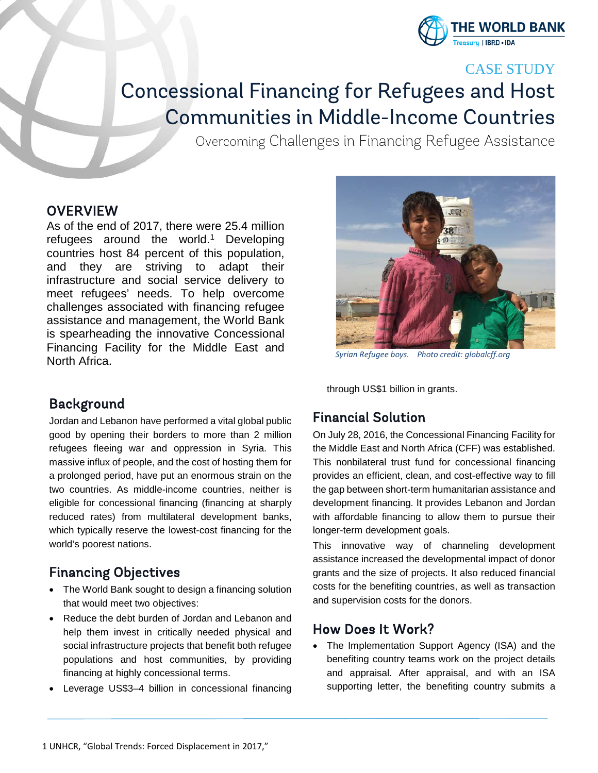

CASE STUDY

# Concessional Financing for Refugees and Host Communities in Middle-Income Countries

Overcoming Challenges in Financing Refugee Assistance

#### **OVERVIEW**

As of the end of 2017, there were 25.4 million refugees around the world. <sup>1</sup> Developing countries host 84 percent of this population, and they are striving to adapt their infrastructure and social service delivery to meet refugees' needs. To help overcome challenges associated with financing refugee assistance and management, the World Bank is spearheading the innovative Concessional Financing Facility for the Middle East and North Africa. *Syrian Refugee boys. Photo credit: globalcff.org*



through US\$1 billion in grants.

# Background

Jordan and Lebanon have performed a vital global public good by opening their borders to more than 2 million refugees fleeing war and oppression in Syria. This massive influx of people, and the cost of hosting them for a prolonged period, have put an enormous strain on the two countries. As middle-income countries, neither is eligible for concessional financing (financing at sharply reduced rates) from multilateral development banks, which typically reserve the lowest-cost financing for the world's poorest nations.

# Financing Objectives

- The World Bank sought to design a financing solution that would meet two objectives:
- Reduce the debt burden of Jordan and Lebanon and help them invest in critically needed physical and social infrastructure projects that benefit both refugee populations and host communities, by providing financing at highly concessional terms.
- Leverage US\$3-4 billion in concessional financing

## Financial Solution

On July 28, 2016, the Concessional Financing Facility for the Middle East and North Africa (CFF) was established. This nonbilateral trust fund for concessional financing provides an efficient, clean, and cost-effective way to fill the gap between short-term humanitarian assistance and development financing. It provides Lebanon and Jordan with affordable financing to allow them to pursue their longer-term development goals.

This innovative way of channeling development assistance increased the developmental impact of donor grants and the size of projects. It also reduced financial costs for the benefiting countries, as well as transaction and supervision costs for the donors.

## How Does It Work?

• The Implementation Support Agency (ISA) and the benefiting country teams work on the project details and appraisal. After appraisal, and with an ISA supporting letter, the benefiting country submits a